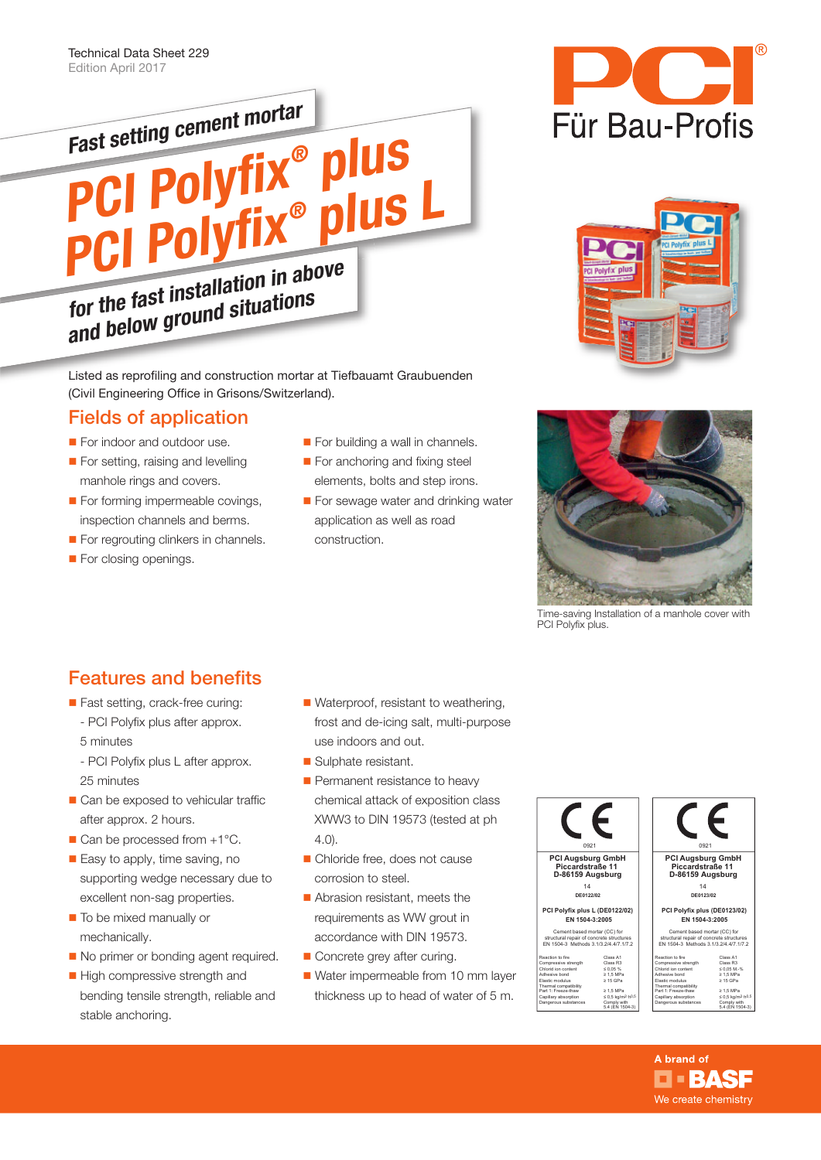

Listed as reprofiling and construction mortar at Tiefbauamt Graubuenden (Civil Engineering Office in Grisons/Switzerland).

## Fields of application

- For indoor and outdoor use.
- For setting, raising and levelling manhole rings and covers.
- For forming impermeable covings, inspection channels and berms.
- For regrouting clinkers in channels.
- For closing openings.
- For building a wall in channels.
- For anchoring and fixing steel elements, bolts and step irons.
- For sewage water and drinking water application as well as road construction.







Time-saving Installation of a manhole cover with PCI Polyfix plus.

# Features and benefits

- Fast setting, crack-free curing: - PCI Polyfix plus after approx.
	- 5 minutes - PCI Polyfix plus L after approx. 25 minutes
- Can be exposed to vehicular traffic after approx. 2 hours.
- $\blacksquare$  Can be processed from  $+1^{\circ}$ C.
- Easy to apply, time saving, no supporting wedge necessary due to excellent non-sag properties.
- To be mixed manually or mechanically.
- No primer or bonding agent required.
- High compressive strength and bending tensile strength, reliable and stable anchoring.
- Waterproof, resistant to weathering, frost and de-icing salt, multi-purpose use indoors and out.
- Sulphate resistant.
- Permanent resistance to heavy chemical attack of exposition class XWW3 to DIN 19573 (tested at ph 4.0).
- Chloride free, does not cause corrosion to steel.
- Abrasion resistant, meets the requirements as WW grout in accordance with DIN 19573.
- Concrete grey after curing.
- Water impermeable from 10 mm layer thickness up to head of water of 5 m.

| 0921                                                                                                                                                                                                |                                                                                                                                                                      | 0921                                                                                                                                                                                                |                                                                                                                                                                        |
|-----------------------------------------------------------------------------------------------------------------------------------------------------------------------------------------------------|----------------------------------------------------------------------------------------------------------------------------------------------------------------------|-----------------------------------------------------------------------------------------------------------------------------------------------------------------------------------------------------|------------------------------------------------------------------------------------------------------------------------------------------------------------------------|
| <b>PCI Auasbura GmbH</b><br>Piccardstraße 11<br>D-86159 Augsburg                                                                                                                                    |                                                                                                                                                                      | <b>PCI Auasbura GmbH</b><br>Piccardstraße 11<br>D-86159 Augsburg                                                                                                                                    |                                                                                                                                                                        |
| 14                                                                                                                                                                                                  |                                                                                                                                                                      | 14                                                                                                                                                                                                  |                                                                                                                                                                        |
| DE0122/02                                                                                                                                                                                           |                                                                                                                                                                      | DE0123/02                                                                                                                                                                                           |                                                                                                                                                                        |
|                                                                                                                                                                                                     |                                                                                                                                                                      |                                                                                                                                                                                                     |                                                                                                                                                                        |
| PCI Polyfix plus L (DE0122/02)<br>EN 1504-3:2005                                                                                                                                                    |                                                                                                                                                                      | PCI Polyfix plus (DE0123/02)<br>EN 1504-3:2005                                                                                                                                                      |                                                                                                                                                                        |
| Cement based mortar (CC) for<br>structural repair of concrete structures<br>FN 1504-3 Methods 3 1/3 2/4 4/7 1/7 2                                                                                   |                                                                                                                                                                      | Cement based mortar (CC) for<br>structural repair of concrete structures<br>FN 1504-3 Methods 3 1/3 2/4 4/7 1/7 2                                                                                   |                                                                                                                                                                        |
| Reaction to fire<br>Compressive strength<br>Chlorid ion content<br>Adhesive hond<br>Flastic modulus<br>Thermal compatibility<br>Part 1: Freeze-thaw<br>Capillary absorption<br>Dangerous substances | Class A1<br>Class R3<br>50.05%<br>$\geq 1.5$ MPa<br>$>$ 15 GPa<br>$\geq 1.5$ MPa<br>$\leq 0.5$ kg/m <sup>2</sup> ·h <sup>0.5</sup><br>Comply with<br>5.4 (EN 1504-3) | Reaction to fire<br>Compressive strength<br>Chlorid ion content<br>Adhesive bond<br>Flastic modulus<br>Thermal compatibility<br>Part 1: Freeze-thaw<br>Capillary absorption<br>Dangerous substances | Class A1<br>Class R3<br>$< 0.05 M - %$<br>$\geq 1.5$ MPa<br>$>$ 15 GPa<br>>1.5 MPa<br>$\leq 0.5$ kg/m <sup>2</sup> ·h <sup>0</sup> .<br>Comply with<br>5.4 (EN 1504-3) |

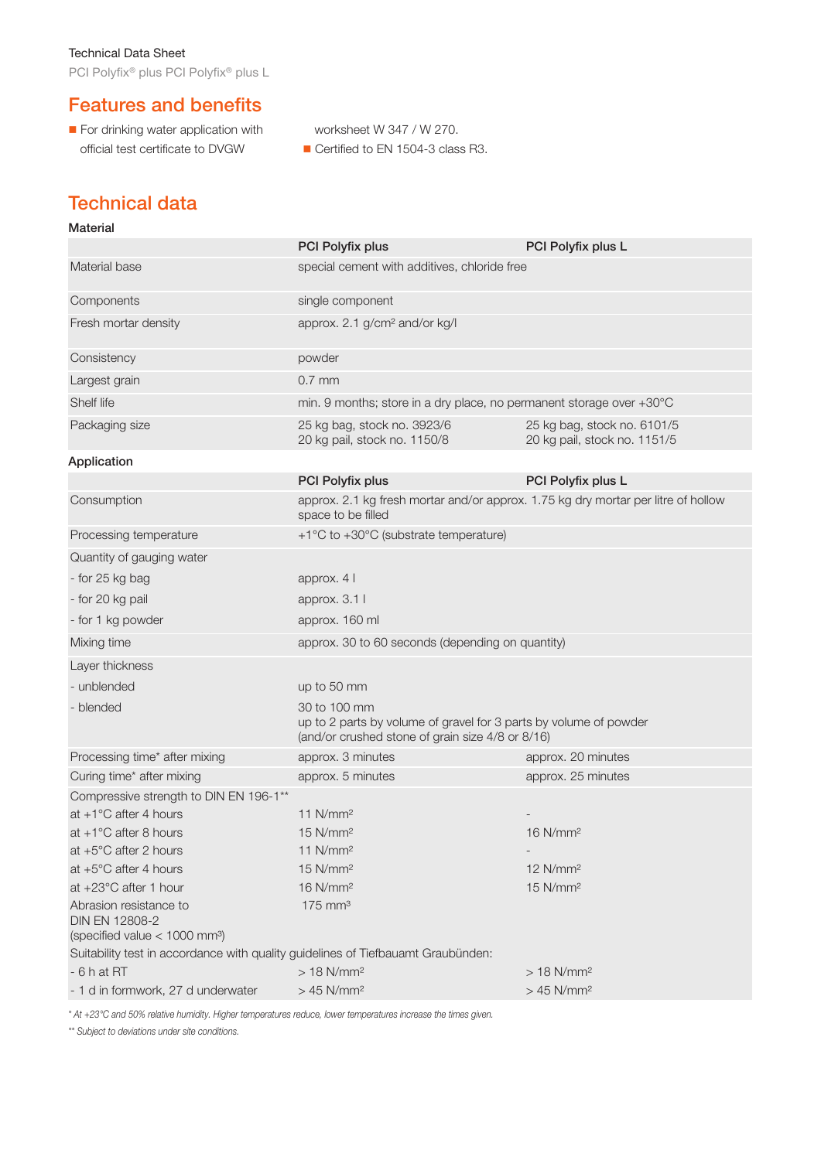PCI Polyfix® plus PCI Polyfix® plus L

# Features and benefits

- For drinking water application with official test certificate to DVGW
- worksheet W 347 / W 270. Certified to EN 1504-3 class R3.

# Technical data

| <b>Material</b>                                                                                 |                                                                                                                                       |                                                             |  |  |
|-------------------------------------------------------------------------------------------------|---------------------------------------------------------------------------------------------------------------------------------------|-------------------------------------------------------------|--|--|
|                                                                                                 | PCI Polyfix plus                                                                                                                      | PCI Polyfix plus L                                          |  |  |
| Material base                                                                                   | special cement with additives, chloride free                                                                                          |                                                             |  |  |
| Components                                                                                      | single component                                                                                                                      |                                                             |  |  |
| Fresh mortar density                                                                            | approx. 2.1 g/cm <sup>2</sup> and/or kg/l                                                                                             |                                                             |  |  |
| Consistency                                                                                     | powder                                                                                                                                |                                                             |  |  |
| Largest grain                                                                                   | $0.7$ mm                                                                                                                              |                                                             |  |  |
| Shelf life                                                                                      | min. 9 months; store in a dry place, no permanent storage over +30°C                                                                  |                                                             |  |  |
| Packaging size                                                                                  | 25 kg bag, stock no. 3923/6<br>20 kg pail, stock no. 1150/8                                                                           | 25 kg bag, stock no. 6101/5<br>20 kg pail, stock no. 1151/5 |  |  |
| Application                                                                                     |                                                                                                                                       |                                                             |  |  |
|                                                                                                 | PCI Polyfix plus                                                                                                                      | PCI Polyfix plus L                                          |  |  |
| Consumption                                                                                     | approx. 2.1 kg fresh mortar and/or approx. 1.75 kg dry mortar per litre of hollow<br>space to be filled                               |                                                             |  |  |
| Processing temperature                                                                          | +1°C to +30°C (substrate temperature)                                                                                                 |                                                             |  |  |
| Quantity of gauging water                                                                       |                                                                                                                                       |                                                             |  |  |
| - for 25 kg bag                                                                                 | approx. 4 l                                                                                                                           |                                                             |  |  |
| - for 20 kg pail                                                                                | approx. 3.1 l                                                                                                                         |                                                             |  |  |
| - for 1 kg powder                                                                               | approx. 160 ml                                                                                                                        |                                                             |  |  |
| Mixing time                                                                                     | approx. 30 to 60 seconds (depending on quantity)                                                                                      |                                                             |  |  |
| Layer thickness                                                                                 |                                                                                                                                       |                                                             |  |  |
| - unblended                                                                                     | up to 50 mm                                                                                                                           |                                                             |  |  |
| - blended                                                                                       | 30 to 100 mm<br>up to 2 parts by volume of gravel for 3 parts by volume of powder<br>(and/or crushed stone of grain size 4/8 or 8/16) |                                                             |  |  |
| Processing time* after mixing                                                                   | approx. 3 minutes                                                                                                                     | approx. 20 minutes                                          |  |  |
| Curing time* after mixing                                                                       | approx. 5 minutes                                                                                                                     | approx. 25 minutes                                          |  |  |
| Compressive strength to DIN EN 196-1**                                                          |                                                                                                                                       |                                                             |  |  |
| at $+1^{\circ}$ C after 4 hours                                                                 | $11$ N/mm <sup>2</sup>                                                                                                                |                                                             |  |  |
| at $+1^{\circ}$ C after 8 hours                                                                 | $15$ N/mm <sup>2</sup>                                                                                                                | 16 N/mm <sup>2</sup>                                        |  |  |
| at $+5^{\circ}$ C after 2 hours                                                                 | $11$ N/mm <sup>2</sup>                                                                                                                |                                                             |  |  |
| at $+5^{\circ}$ C after 4 hours                                                                 | 15 N/mm <sup>2</sup>                                                                                                                  | 12 N/mm <sup>2</sup>                                        |  |  |
| at +23°C after 1 hour                                                                           | 16 N/mm <sup>2</sup><br>$15$ N/mm <sup>2</sup>                                                                                        |                                                             |  |  |
| Abrasion resistance to<br>DIN EN 12808-2                                                        | $175$ mm <sup>3</sup>                                                                                                                 |                                                             |  |  |
| (specified value < 1000 mm <sup>3</sup> )                                                       |                                                                                                                                       |                                                             |  |  |
| Suitability test in accordance with quality guidelines of Tiefbauamt Graubünden:<br>$-6h$ at RT | $>18$ N/mm <sup>2</sup>                                                                                                               | $> 18$ N/mm <sup>2</sup>                                    |  |  |
| - 1 d in formwork, 27 d underwater                                                              | $>45$ N/mm <sup>2</sup>                                                                                                               | $>45$ N/mm <sup>2</sup>                                     |  |  |

\* At +23°C and 50% relative humidity. Higher temperatures reduce, lower temperatures increase the times given.

\*\* Subject to deviations under site conditions.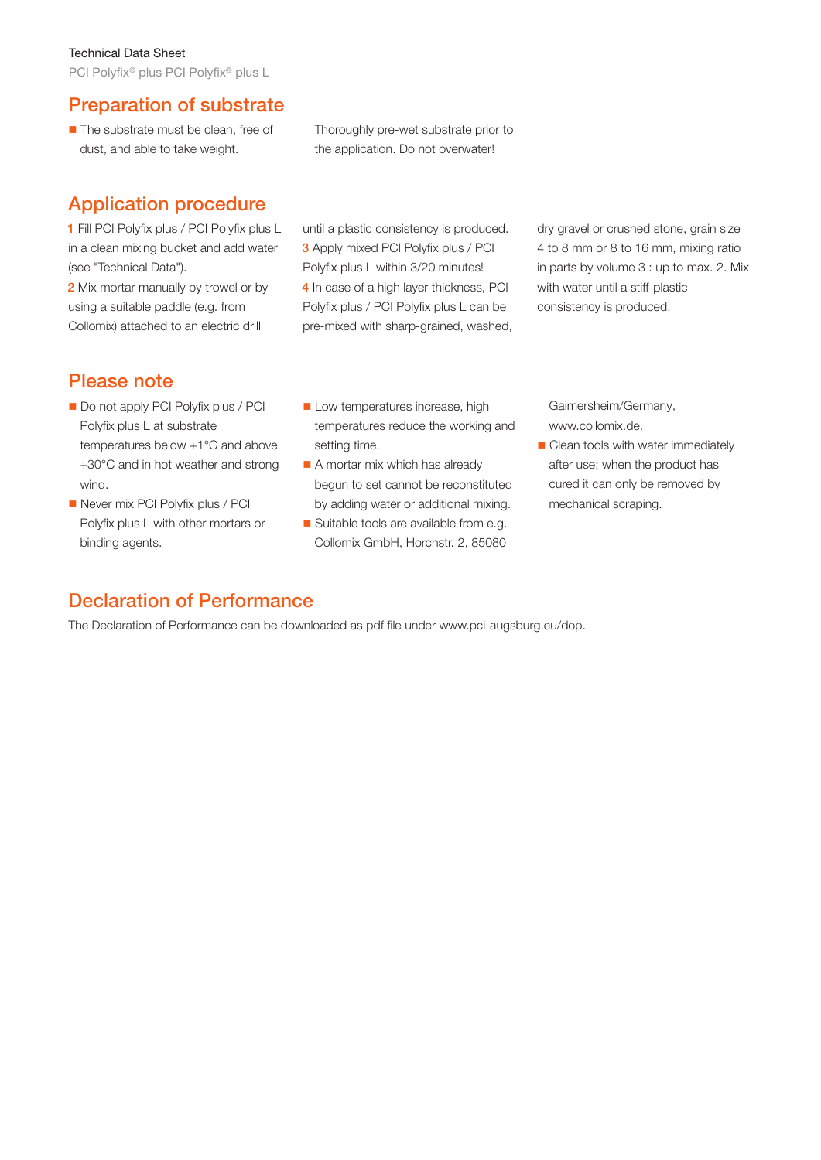#### Technical Data Sheet

PCI Polyfix® plus PCI Polyfix® plus L

### Preparation of substrate

**The substrate must be clean, free of** dust, and able to take weight.

Thoroughly pre-wet substrate prior to the application. Do not overwater!

## Application procedure

1 Fill PCI Polyfix plus / PCI Polyfix plus L in a clean mixing bucket and add water (see "Technical Data").

2 Mix mortar manually by trowel or by using a suitable paddle (e.g. from Collomix) attached to an electric drill

until a plastic consistency is produced. 3 Apply mixed PCI Polyfix plus / PCI Polyfix plus L within 3/20 minutes! 4 In case of a high layer thickness, PCI Polyfix plus / PCI Polyfix plus L can be pre-mixed with sharp-grained, washed,

dry gravel or crushed stone, grain size 4 to 8 mm or 8 to 16 mm, mixing ratio in parts by volume 3 : up to max. 2. Mix with water until a stiff-plastic consistency is produced.

## Please note

- Do not apply PCI Polyfix plus / PCI Polyfix plus L at substrate temperatures below +1°C and above +30°C and in hot weather and strong wind.
- Never mix PCI Polyfix plus / PCI Polyfix plus L with other mortars or binding agents.
- Low temperatures increase, high temperatures reduce the working and setting time.
- A mortar mix which has already begun to set cannot be reconstituted by adding water or additional mixing.
- Suitable tools are available from e.g. Collomix GmbH, Horchstr. 2, 85080

Gaimersheim/Germany, www.collomix.de.

Clean tools with water immediately after use; when the product has cured it can only be removed by mechanical scraping.

## Declaration of Performance

The Declaration of Performance can be downloaded as pdf file under www.pci-augsburg.eu/dop.